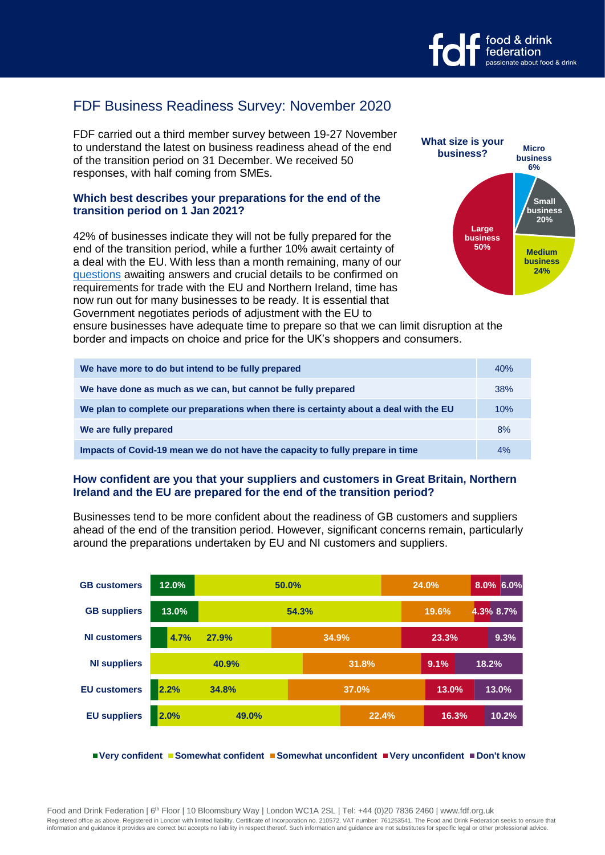

# FDF Business Readiness Survey: November 2020

FDF carried out a third member survey between 19-27 November to understand the latest on business readiness ahead of the end of the transition period on 31 December. We received 50 responses, with half coming from SMEs.

#### **Which best describes your preparations for the end of the transition period on 1 Jan 2021?**

42% of businesses indicate they will not be fully prepared for the end of the transition period, while a further 10% await certainty of a deal with the EU. With less than a month remaining, many of our [questions](https://www.fdf.org.uk/publicgeneral/defra-answers-fdf-questions-uk-eu-future-relationship.pdf) awaiting answers and crucial details to be confirmed on requirements for trade with the EU and Northern Ireland, time has now run out for many businesses to be ready. It is essential that Government negotiates periods of adjustment with the EU to



ensure businesses have adequate time to prepare so that we can limit disruption at the border and impacts on choice and price for the UK's shoppers and consumers.

| We have more to do but intend to be fully prepared                                    | 40%        |
|---------------------------------------------------------------------------------------|------------|
| We have done as much as we can, but cannot be fully prepared                          | <b>38%</b> |
| We plan to complete our preparations when there is certainty about a deal with the EU | 10%        |
| We are fully prepared                                                                 | 8%         |
| Impacts of Covid-19 mean we do not have the capacity to fully prepare in time         | 4%         |

### **How confident are you that your suppliers and customers in Great Britain, Northern Ireland and the EU are prepared for the end of the transition period?**

Businesses tend to be more confident about the readiness of GB customers and suppliers ahead of the end of the transition period. However, significant concerns remain, particularly around the preparations undertaken by EU and NI customers and suppliers.

| <b>GB customers</b> | 12.0% | 50.0% |  |       | 24.0% |       |       | 8.0% 6.0% |
|---------------------|-------|-------|--|-------|-------|-------|-------|-----------|
| <b>GB</b> suppliers | 13.0% | 54.3% |  |       |       | 19.6% |       | 4.3% 8.7% |
| <b>NI customers</b> | 4.7%  | 27.9% |  | 34.9% |       | 23.3% |       | 9.3%      |
| <b>NI suppliers</b> | 40.9% |       |  | 31.8% |       | 9.1%  | 18.2% |           |
| <b>EU customers</b> | 2.2%  | 34.8% |  | 37.0% |       | 13.0% |       | 13.0%     |
| <b>EU suppliers</b> | 2.0%  | 49.0% |  |       | 22.4% | 16.3% |       | 10.2%     |

#### **Very confident Somewhat confident Somewhat unconfident Very unconfident Don't know**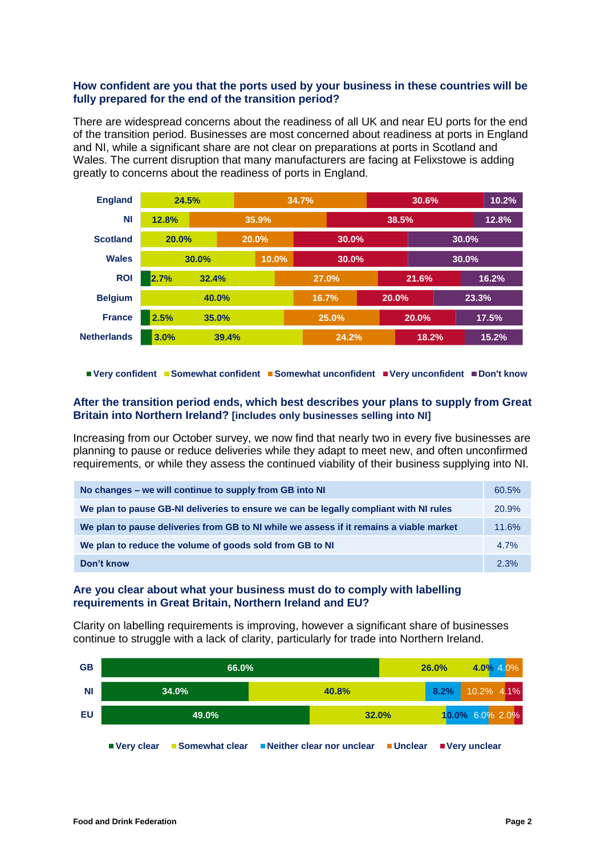#### **How confident are you that the ports used by your business in these countries will be fully prepared for the end of the transition period?**

There are widespread concerns about the readiness of all UK and near EU ports for the end of the transition period. Businesses are most concerned about readiness at ports in England and NI, while a significant share are not clear on preparations at ports in Scotland and Wales. The current disruption that many manufacturers are facing at Felixstowe is adding greatly to concerns about the readiness of ports in England.

| <b>England</b>     | 24.5%         |       |       | 34.7% |                | 30.6% | 10.2% |
|--------------------|---------------|-------|-------|-------|----------------|-------|-------|
| ΝI                 | 12.8%         |       | 35.9% |       | 12.8%<br>38.5% |       |       |
| <b>Scotland</b>    | 20.0%         |       | 20.0% | 30.0% | 30.0%          |       |       |
| <b>Wales</b>       |               | 30.0% | 10.0% | 30.0% |                | 30.0% |       |
| <b>ROI</b>         | 2.7%          | 32.4% |       | 27.0% |                | 21.6% | 16.2% |
| <b>Belgium</b>     |               | 40.0% |       | 16.7% | 20.0%          |       | 23.3% |
| <b>France</b>      | 2.5%          | 35.0% |       | 25.0% |                | 20.0% | 17.5% |
| <b>Netherlands</b> | 3.0%<br>39.4% |       | 24.2% |       | 18.2%          | 15.2% |       |

**Very confident Somewhat confident Somewhat unconfident Very unconfident Don't know**

#### **After the transition period ends, which best describes your plans to supply from Great Britain into Northern Ireland? [includes only businesses selling into NI]**

Increasing from our October survey, we now find that nearly two in every five businesses are planning to pause or reduce deliveries while they adapt to meet new, and often unconfirmed requirements, or while they assess the continued viability of their business supplying into NI.

| No changes – we will continue to supply from GB into NI                                 | 60.5%   |
|-----------------------------------------------------------------------------------------|---------|
| We plan to pause GB-NI deliveries to ensure we can be legally compliant with NI rules   | 20.9%   |
| We plan to pause deliveries from GB to NI while we assess if it remains a viable market | 11.6%   |
| We plan to reduce the volume of goods sold from GB to NI                                | $4.7\%$ |
| Don't know                                                                              | 2.3%    |

#### **Are you clear about what your business must do to comply with labelling requirements in Great Britain, Northern Ireland and EU?**

Clarity on labelling requirements is improving, however a significant share of businesses continue to struggle with a lack of clarity, particularly for trade into Northern Ireland.

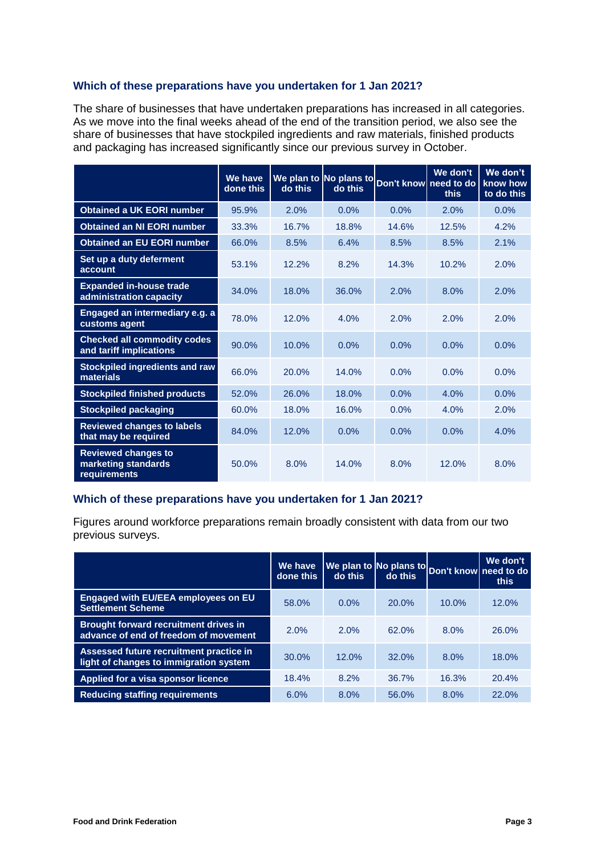### **Which of these preparations have you undertaken for 1 Jan 2021?**

The share of businesses that have undertaken preparations has increased in all categories. As we move into the final weeks ahead of the end of the transition period, we also see the share of businesses that have stockpiled ingredients and raw materials, finished products and packaging has increased significantly since our previous survey in October.

|                                                                   | We have<br>done this | do this | We plan to No plans to<br>do this |       | We don't<br>Don't know need to do<br><b>this</b> | We don't<br>know how<br>to do this |
|-------------------------------------------------------------------|----------------------|---------|-----------------------------------|-------|--------------------------------------------------|------------------------------------|
| <b>Obtained a UK EORI number</b>                                  | 95.9%                | 2.0%    | 0.0%                              | 0.0%  | 2.0%                                             | 0.0%                               |
| <b>Obtained an NI EORI number</b>                                 | 33.3%                | 16.7%   | 18.8%                             | 14.6% | 12.5%                                            | 4.2%                               |
| <b>Obtained an EU EORI number</b>                                 | 66.0%                | 8.5%    | 6.4%                              | 8.5%  | 8.5%                                             | 2.1%                               |
| Set up a duty deferment<br>account                                | 53.1%                | 12.2%   | 8.2%                              | 14.3% | 10.2%                                            | 2.0%                               |
| <b>Expanded in-house trade</b><br>administration capacity         | 34.0%                | 18.0%   | 36.0%                             | 2.0%  | 8.0%                                             | 2.0%                               |
| Engaged an intermediary e.g. a<br>customs agent                   | 78.0%                | 12.0%   | 4.0%                              | 2.0%  | 2.0%                                             | 2.0%                               |
| <b>Checked all commodity codes</b><br>and tariff implications     | 90.0%                | 10.0%   | 0.0%                              | 0.0%  | 0.0%                                             | 0.0%                               |
| Stockpiled ingredients and raw<br>materials                       | 66.0%                | 20.0%   | 14.0%                             | 0.0%  | 0.0%                                             | 0.0%                               |
| <b>Stockpiled finished products</b>                               | 52.0%                | 26.0%   | 18.0%                             | 0.0%  | 4.0%                                             | 0.0%                               |
| <b>Stockpiled packaging</b>                                       | 60.0%                | 18.0%   | 16.0%                             | 0.0%  | 4.0%                                             | 2.0%                               |
| <b>Reviewed changes to labels</b><br>that may be required         | 84.0%                | 12.0%   | 0.0%                              | 0.0%  | 0.0%                                             | 4.0%                               |
| <b>Reviewed changes to</b><br>marketing standards<br>requirements | 50.0%                | 8.0%    | 14.0%                             | 8.0%  | 12.0%                                            | 8.0%                               |

## **Which of these preparations have you undertaken for 1 Jan 2021?**

Figures around workforce preparations remain broadly consistent with data from our two previous surveys.

|                                                                                       | We have<br>done this | do this  | do this  | We plan to No plans to Don't know need to do | We don't<br>this |
|---------------------------------------------------------------------------------------|----------------------|----------|----------|----------------------------------------------|------------------|
| <b>Engaged with EU/EEA employees on EU</b><br><b>Settlement Scheme</b>                | 58.0%                | $0.0\%$  | $20.0\%$ | $10.0\%$                                     | 12.0%            |
| <b>Brought forward recruitment drives in</b><br>advance of end of freedom of movement | 2.0%                 | 2.0%     | 62.0%    | 8.0%                                         | 26.0%            |
| Assessed future recruitment practice in<br>light of changes to immigration system     | $30.0\%$             | $12.0\%$ | 32.0%    | 8.0%                                         | 18.0%            |
| Applied for a visa sponsor licence                                                    | 18.4%                | 8.2%     | 36.7%    | 16.3%                                        | 20.4%            |
| <b>Reducing staffing requirements</b>                                                 | 6.0%                 | $8.0\%$  | 56.0%    | 8.0%                                         | 22.0%            |